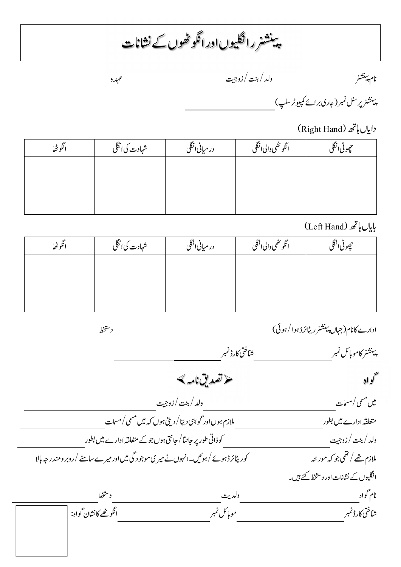ینشنر رانگیوں اور انگو ٹھوں کے نشانات ì ֪֖֚֚֬֝֬֝֬֝֬֝ ֦  $\overline{\phantom{a}}$ 

 و / / زو ہ  $\ddot{\phantom{0}}$  $\overline{\phantom{a}}$ نام پینشه ֦֘֒  $\overline{\phantom{a}}$ 

ینشنر پر <sup>سنل</sup> نمبر ( جاری بر ائے کمپیوٹر سلپ ) ֖֖֖֖֖֖֚֚֚֚֚֚֚֚֚֚֚֚֡֬֝֝<br>֧֪֚֜֝ ֦֧  $\overline{\phantom{a}}$ 

دایاں ہاتھ (Right Hand)

| انكوظا | شہادت کی انگلی | در میانی انگلی | ائگو ځصی والی انگلی | چوڻی انگل |
|--------|----------------|----------------|---------------------|-----------|
|        |                |                |                     |           |
|        |                |                |                     |           |
|        |                |                |                     |           |

(Left Hand) پایاں ہاتھ

| انكوظا | شہادت کی انگلی | در میانی انگلی | انگو ٹھی والی انگلی | حجوڻی انگل |
|--------|----------------|----------------|---------------------|------------|
|        |                |                |                     |            |
|        |                |                |                     |            |
|        |                |                |                     |            |

 رڈ ا/) د ادارے م (ں  $\ddot{\phantom{0}}$  $\overline{\phantom{a}}$ ֦ׅ  $\overline{\phantom{a}}$ .<br>ينشنر كامو بائل نمبر ֖֖֖֖֖֦֪֪ׅ֚֚֚֚֚֚֚֚֚֚֚֚֡֬֝֝**֓** j  $\overline{\phantom{a}}$ کواہ سے مختصد کی تعدیق نامہ ک میں مسمی / مسمات مسلسل مسلسل مسلسل مسلسل مسلسل مسلسل مسلسل مسلسل مسلسل مسلسل مسلسل مسلسل مسلسل مسلسل مسلسل مسل متعلقہ ادارے میں بطور  $\langle v \rangle$ مسمات و//زو ذا ر / ں ادارے ر ملازم تھے / تھی جو کہ مور خہ ہے مستند کوریٹائرڈ ہوئے /ہوئیں۔انہوں نے میر ی موجو د گی میں اور میرے سامنے /روبر ومندر جہ ہالا انگلیوں کے نشانات اور دستخط کئے ہیں۔ نام گواه<u> به مستقطر ترافق از تشخط می مستقل از مستقل می باشد و مستخطر است.</u><br>- مستقل از تشخی کارڈ نمبر<br>- مستقل تشناختی کارڈ نمبر مستقل تشناختی کارڈ نمبر انگو تھے کا نشان گواہ: رڈ ا ن اہ: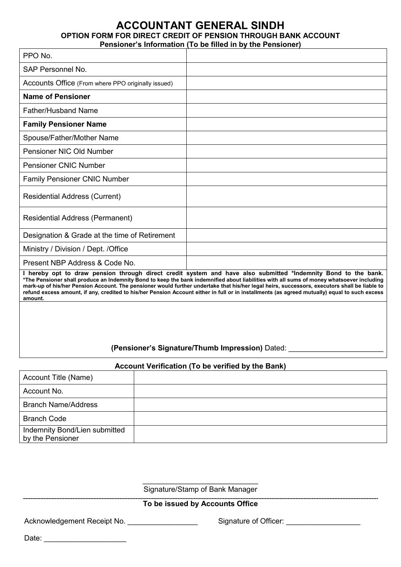### **ACCOUNTANT GENERAL SINDH OPTION FORM FOR DIRECT CREDIT OF PENSION THROUGH BANK ACCOUNT Pensioner's Information (To be filled in by the Pensioner)**

| PPO No.                                            |                                                                                                                                                                                                                                                                                                                                                                                                                                                                                                                                                              |
|----------------------------------------------------|--------------------------------------------------------------------------------------------------------------------------------------------------------------------------------------------------------------------------------------------------------------------------------------------------------------------------------------------------------------------------------------------------------------------------------------------------------------------------------------------------------------------------------------------------------------|
| SAP Personnel No.                                  |                                                                                                                                                                                                                                                                                                                                                                                                                                                                                                                                                              |
| Accounts Office (From where PPO originally issued) |                                                                                                                                                                                                                                                                                                                                                                                                                                                                                                                                                              |
| <b>Name of Pensioner</b>                           |                                                                                                                                                                                                                                                                                                                                                                                                                                                                                                                                                              |
| <b>Father/Husband Name</b>                         |                                                                                                                                                                                                                                                                                                                                                                                                                                                                                                                                                              |
| <b>Family Pensioner Name</b>                       |                                                                                                                                                                                                                                                                                                                                                                                                                                                                                                                                                              |
| Spouse/Father/Mother Name                          |                                                                                                                                                                                                                                                                                                                                                                                                                                                                                                                                                              |
| Pensioner NIC Old Number                           |                                                                                                                                                                                                                                                                                                                                                                                                                                                                                                                                                              |
| <b>Pensioner CNIC Number</b>                       |                                                                                                                                                                                                                                                                                                                                                                                                                                                                                                                                                              |
| <b>Family Pensioner CNIC Number</b>                |                                                                                                                                                                                                                                                                                                                                                                                                                                                                                                                                                              |
| Residential Address (Current)                      |                                                                                                                                                                                                                                                                                                                                                                                                                                                                                                                                                              |
| <b>Residential Address (Permanent)</b>             |                                                                                                                                                                                                                                                                                                                                                                                                                                                                                                                                                              |
| Designation & Grade at the time of Retirement      |                                                                                                                                                                                                                                                                                                                                                                                                                                                                                                                                                              |
| Ministry / Division / Dept. / Office               |                                                                                                                                                                                                                                                                                                                                                                                                                                                                                                                                                              |
| Present NBP Address & Code No.                     |                                                                                                                                                                                                                                                                                                                                                                                                                                                                                                                                                              |
| amount.                                            | I hereby opt to draw pension through direct credit system and have also submitted *Indemnity Bond to the bank.<br>*The Pensioner shall produce an Indemnity Bond to keep the bank indemnified about liabilities with all sums of money whatsoever including<br>mark-up of his/her Pension Account. The pensioner would further undertake that his/her legal heirs, successors, executors shall be liable to<br>refund excess amount, if any, credited to his/her Pension Account either in full or in installments (as agreed mutually) equal to such excess |

## **(Pensioner's Signature/Thumb Impression)** Dated: \_\_\_\_\_\_\_\_\_\_\_\_\_\_\_\_\_\_\_\_\_\_\_

### **Account Verification (To be verified by the Bank)**

| Account Title (Name)                              |  |
|---------------------------------------------------|--|
| Account No.                                       |  |
| <b>Branch Name/Address</b>                        |  |
| <b>Branch Code</b>                                |  |
| Indemnity Bond/Lien submitted<br>by the Pensioner |  |

\_\_\_\_\_\_\_\_\_\_\_\_\_\_\_\_\_\_\_\_\_\_\_\_\_\_\_\_ Signature/Stamp of Bank Manager

#### **To be issued by Accounts Office**

Acknowledgement Receipt No. \_\_\_\_\_\_\_\_\_\_\_\_\_\_\_\_\_\_\_\_\_\_\_\_\_\_\_\_\_\_\_Signature of Officer: \_\_\_\_\_\_\_\_\_\_\_\_\_\_\_\_\_\_

Date: \_\_\_\_\_\_\_\_\_\_\_\_\_\_\_\_\_\_\_\_